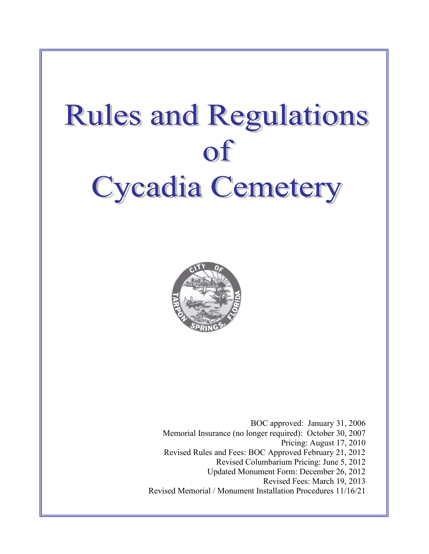# **Rules and Regulations**  $\mathbf{f}$ **Cycadia Cemetery**



BOC approved: January 31, 2006 Memorial Insurance (no longer required): October 30, 2007 Pricing: August 17, 2010 Revised Rules and Fees: BOC Approved February 21, 2012 Revised Columbarium Pricing: June 5, 2012 Updated Monument Form: December 26, 2012 Revised Fees: March 19, 2013 Revised Memorial / Monument Installation Procedures 11/16/21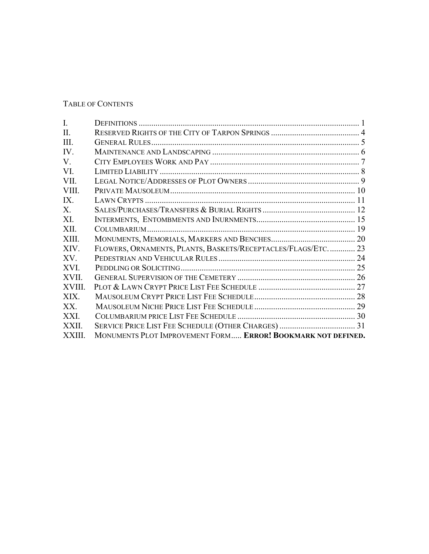# TABLE OF CONTENTS

| I.       |                                                              |  |
|----------|--------------------------------------------------------------|--|
| II.      |                                                              |  |
| III.     |                                                              |  |
| IV.      |                                                              |  |
| V.       |                                                              |  |
| VI.      |                                                              |  |
| VII.     |                                                              |  |
| VIII.    |                                                              |  |
| IX       |                                                              |  |
| X.       |                                                              |  |
| XI.      |                                                              |  |
| XII.     |                                                              |  |
| XIII.    |                                                              |  |
| XIV.     | FLOWERS, ORNAMENTS, PLANTS, BASKETS/RECEPTACLES/FLAGS/ETC 23 |  |
| $XV_{-}$ |                                                              |  |
| XVI.     |                                                              |  |
| XVII.    |                                                              |  |
| XVIII.   |                                                              |  |
| XIX.     |                                                              |  |
| XX.      |                                                              |  |
| XXI.     |                                                              |  |
| XXII.    |                                                              |  |
| XXIII.   | MONUMENTS PLOT IMPROVEMENT FORM ERROR! BOOKMARK NOT DEFINED. |  |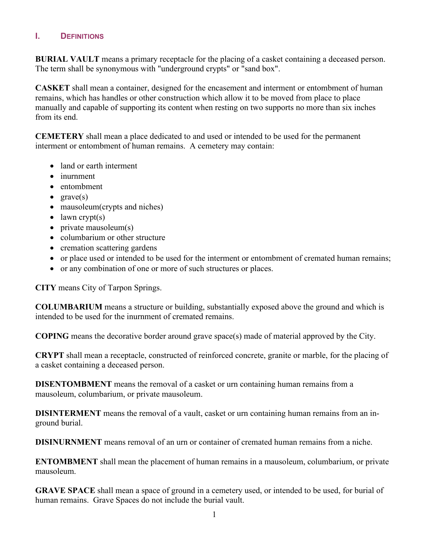# <span id="page-2-0"></span>**I. DEFINITIONS**

**BURIAL VAULT** means a primary receptacle for the placing of a casket containing a deceased person. The term shall be synonymous with "underground crypts" or "sand box".

**CASKET** shall mean a container, designed for the encasement and interment or entombment of human remains, which has handles or other construction which allow it to be moved from place to place manually and capable of supporting its content when resting on two supports no more than six inches from its end.

**CEMETERY** shall mean a place dedicated to and used or intended to be used for the permanent interment or entombment of human remains. A cemetery may contain:

- land or earth interment
- inurnment
- entombment
- $grave(s)$
- mausoleum(crypts and niches)
- $\bullet$  lawn crypt(s)
- private mausoleum(s)
- columbarium or other structure
- cremation scattering gardens
- or place used or intended to be used for the interment or entombment of cremated human remains;
- or any combination of one or more of such structures or places.

**CITY** means City of Tarpon Springs.

**COLUMBARIUM** means a structure or building, substantially exposed above the ground and which is intended to be used for the inurnment of cremated remains.

**COPING** means the decorative border around grave space(s) made of material approved by the City.

**CRYPT** shall mean a receptacle, constructed of reinforced concrete, granite or marble, for the placing of a casket containing a deceased person.

**DISENTOMBMENT** means the removal of a casket or urn containing human remains from a mausoleum, columbarium, or private mausoleum.

**DISINTERMENT** means the removal of a vault, casket or urn containing human remains from an inground burial.

**DISINURNMENT** means removal of an urn or container of cremated human remains from a niche.

**ENTOMBMENT** shall mean the placement of human remains in a mausoleum, columbarium, or private mausoleum.

**GRAVE SPACE** shall mean a space of ground in a cemetery used, or intended to be used, for burial of human remains. Grave Spaces do not include the burial vault.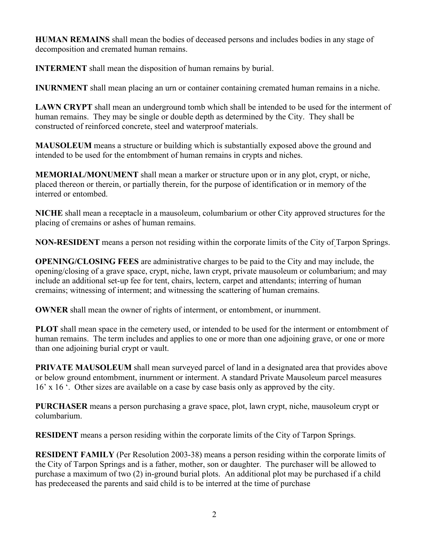**HUMAN REMAINS** shall mean the bodies of deceased persons and includes bodies in any stage of decomposition and cremated human remains.

**INTERMENT** shall mean the disposition of human remains by burial.

**INURNMENT** shall mean placing an urn or container containing cremated human remains in a niche.

**LAWN CRYPT** shall mean an underground tomb which shall be intended to be used for the interment of human remains. They may be single or double depth as determined by the City. They shall be constructed of reinforced concrete, steel and waterproof materials.

**MAUSOLEUM** means a structure or building which is substantially exposed above the ground and intended to be used for the entombment of human remains in crypts and niches.

**MEMORIAL/MONUMENT** shall mean a marker or structure upon or in any plot, crypt, or niche, placed thereon or therein, or partially therein, for the purpose of identification or in memory of the interred or entombed.

**NICHE** shall mean a receptacle in a mausoleum, columbarium or other City approved structures for the placing of cremains or ashes of human remains.

**NON-RESIDENT** means a person not residing within the corporate limits of the City of Tarpon Springs.

**OPENING/CLOSING FEES** are administrative charges to be paid to the City and may include, the opening/closing of a grave space, crypt, niche, lawn crypt, private mausoleum or columbarium; and may include an additional set-up fee for tent, chairs, lectern, carpet and attendants; interring of human cremains; witnessing of interment; and witnessing the scattering of human cremains.

**OWNER** shall mean the owner of rights of interment, or entombment, or inurnment.

**PLOT** shall mean space in the cemetery used, or intended to be used for the interment or entombment of human remains. The term includes and applies to one or more than one adjoining grave, or one or more than one adjoining burial crypt or vault.

**PRIVATE MAUSOLEUM** shall mean surveyed parcel of land in a designated area that provides above or below ground entombment, inurnment or interment. A standard Private Mausoleum parcel measures 16' x 16 '. Other sizes are available on a case by case basis only as approved by the city.

**PURCHASER** means a person purchasing a grave space, plot, lawn crypt, niche, mausoleum crypt or columbarium.

**RESIDENT** means a person residing within the corporate limits of the City of Tarpon Springs.

**RESIDENT FAMILY** (Per Resolution 2003-38) means a person residing within the corporate limits of the City of Tarpon Springs and is a father, mother, son or daughter. The purchaser will be allowed to purchase a maximum of two (2) in-ground burial plots. An additional plot may be purchased if a child has predeceased the parents and said child is to be interred at the time of purchase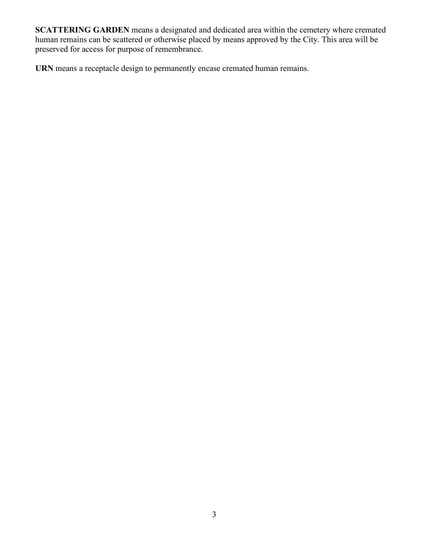**SCATTERING GARDEN** means a designated and dedicated area within the cemetery where cremated human remains can be scattered or otherwise placed by means approved by the City. This area will be preserved for access for purpose of remembrance.

**URN** means a receptacle design to permanently encase cremated human remains.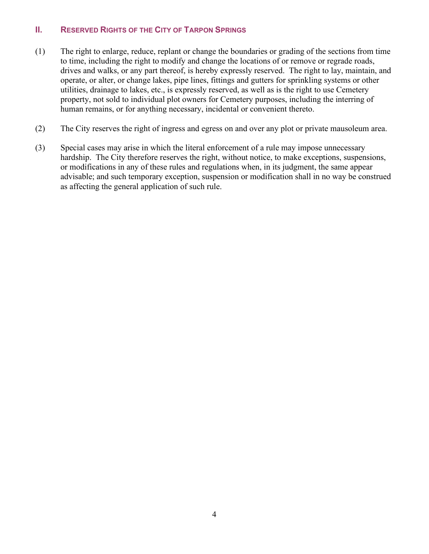# <span id="page-5-0"></span>**II. RESERVED RIGHTS OF THE CITY OF TARPON SPRINGS**

- (1) The right to enlarge, reduce, replant or change the boundaries or grading of the sections from time to time, including the right to modify and change the locations of or remove or regrade roads, drives and walks, or any part thereof, is hereby expressly reserved. The right to lay, maintain, and operate, or alter, or change lakes, pipe lines, fittings and gutters for sprinkling systems or other utilities, drainage to lakes, etc., is expressly reserved, as well as is the right to use Cemetery property, not sold to individual plot owners for Cemetery purposes, including the interring of human remains, or for anything necessary, incidental or convenient thereto.
- (2) The City reserves the right of ingress and egress on and over any plot or private mausoleum area.
- (3) Special cases may arise in which the literal enforcement of a rule may impose unnecessary hardship. The City therefore reserves the right, without notice, to make exceptions, suspensions, or modifications in any of these rules and regulations when, in its judgment, the same appear advisable; and such temporary exception, suspension or modification shall in no way be construed as affecting the general application of such rule.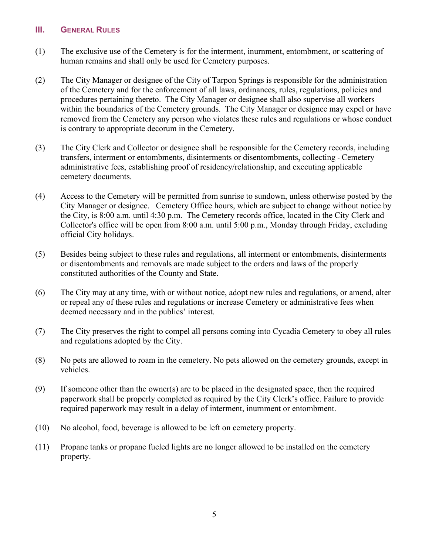#### <span id="page-6-0"></span>**III. GENERAL RULES**

- (1) The exclusive use of the Cemetery is for the interment, inurnment, entombment, or scattering of human remains and shall only be used for Cemetery purposes.
- (2) The City Manager or designee of the City of Tarpon Springs is responsible for the administration of the Cemetery and for the enforcement of all laws, ordinances, rules, regulations, policies and procedures pertaining thereto. The City Manager or designee shall also supervise all workers within the boundaries of the Cemetery grounds. The City Manager or designee may expel or have removed from the Cemetery any person who violates these rules and regulations or whose conduct is contrary to appropriate decorum in the Cemetery.
- (3) The City Clerk and Collector or designee shall be responsible for the Cemetery records, including transfers, interment or entombments, disinterments or disentombments, collecting - Cemetery administrative fees, establishing proof of residency/relationship, and executing applicable cemetery documents.
- (4) Access to the Cemetery will be permitted from sunrise to sundown, unless otherwise posted by the City Manager or designee. Cemetery Office hours, which are subject to change without notice by the City, is 8:00 a.m. until 4:30 p.m. The Cemetery records office, located in the City Clerk and Collector's office will be open from 8:00 a.m. until 5:00 p.m., Monday through Friday, excluding official City holidays.
- (5) Besides being subject to these rules and regulations, all interment or entombments, disinterments or disentombments and removals are made subject to the orders and laws of the properly constituted authorities of the County and State.
- (6) The City may at any time, with or without notice, adopt new rules and regulations, or amend, alter or repeal any of these rules and regulations or increase Cemetery or administrative fees when deemed necessary and in the publics' interest.
- (7) The City preserves the right to compel all persons coming into Cycadia Cemetery to obey all rules and regulations adopted by the City.
- (8) No pets are allowed to roam in the cemetery. No pets allowed on the cemetery grounds, except in vehicles.
- (9) If someone other than the owner(s) are to be placed in the designated space, then the required paperwork shall be properly completed as required by the City Clerk's office. Failure to provide required paperwork may result in a delay of interment, inurnment or entombment.
- (10) No alcohol, food, beverage is allowed to be left on cemetery property.
- (11) Propane tanks or propane fueled lights are no longer allowed to be installed on the cemetery property.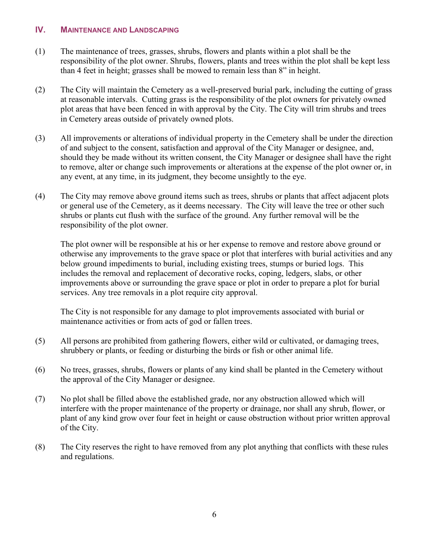#### <span id="page-7-0"></span>**IV. MAINTENANCE AND LANDSCAPING**

- (1) The maintenance of trees, grasses, shrubs, flowers and plants within a plot shall be the responsibility of the plot owner. Shrubs, flowers, plants and trees within the plot shall be kept less than 4 feet in height; grasses shall be mowed to remain less than 8" in height.
- (2) The City will maintain the Cemetery as a well-preserved burial park, including the cutting of grass at reasonable intervals. Cutting grass is the responsibility of the plot owners for privately owned plot areas that have been fenced in with approval by the City. The City will trim shrubs and trees in Cemetery areas outside of privately owned plots.
- (3) All improvements or alterations of individual property in the Cemetery shall be under the direction of and subject to the consent, satisfaction and approval of the City Manager or designee, and, should they be made without its written consent, the City Manager or designee shall have the right to remove, alter or change such improvements or alterations at the expense of the plot owner or, in any event, at any time, in its judgment, they become unsightly to the eye.
- (4) The City may remove above ground items such as trees, shrubs or plants that affect adjacent plots or general use of the Cemetery, as it deems necessary. The City will leave the tree or other such shrubs or plants cut flush with the surface of the ground. Any further removal will be the responsibility of the plot owner.

The plot owner will be responsible at his or her expense to remove and restore above ground or otherwise any improvements to the grave space or plot that interferes with burial activities and any below ground impediments to burial, including existing trees, stumps or buried logs. This includes the removal and replacement of decorative rocks, coping, ledgers, slabs, or other improvements above or surrounding the grave space or plot in order to prepare a plot for burial services. Any tree removals in a plot require city approval.

The City is not responsible for any damage to plot improvements associated with burial or maintenance activities or from acts of god or fallen trees.

- (5) All persons are prohibited from gathering flowers, either wild or cultivated, or damaging trees, shrubbery or plants, or feeding or disturbing the birds or fish or other animal life.
- (6) No trees, grasses, shrubs, flowers or plants of any kind shall be planted in the Cemetery without the approval of the City Manager or designee.
- (7) No plot shall be filled above the established grade, nor any obstruction allowed which will interfere with the proper maintenance of the property or drainage, nor shall any shrub, flower, or plant of any kind grow over four feet in height or cause obstruction without prior written approval of the City.
- (8) The City reserves the right to have removed from any plot anything that conflicts with these rules and regulations.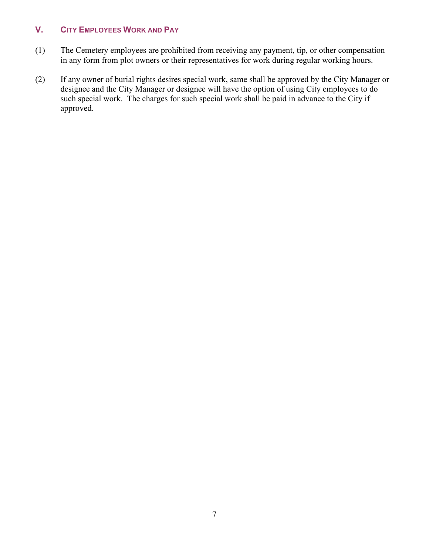# <span id="page-8-0"></span>**V. CITY EMPLOYEES WORK AND PAY**

- (1) The Cemetery employees are prohibited from receiving any payment, tip, or other compensation in any form from plot owners or their representatives for work during regular working hours.
- (2) If any owner of burial rights desires special work, same shall be approved by the City Manager or designee and the City Manager or designee will have the option of using City employees to do such special work. The charges for such special work shall be paid in advance to the City if approved.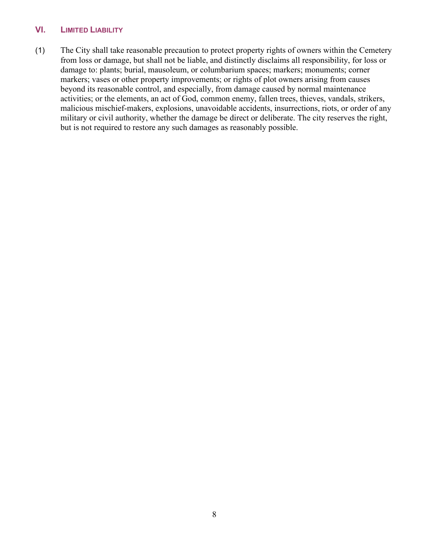## <span id="page-9-0"></span>**VI. LIMITED LIABILITY**

(1) The City shall take reasonable precaution to protect property rights of owners within the Cemetery from loss or damage, but shall not be liable, and distinctly disclaims all responsibility, for loss or damage to: plants; burial, mausoleum, or columbarium spaces; markers; monuments; corner markers; vases or other property improvements; or rights of plot owners arising from causes beyond its reasonable control, and especially, from damage caused by normal maintenance activities; or the elements, an act of God, common enemy, fallen trees, thieves, vandals, strikers, malicious mischief-makers, explosions, unavoidable accidents, insurrections, riots, or order of any military or civil authority, whether the damage be direct or deliberate. The city reserves the right, but is not required to restore any such damages as reasonably possible.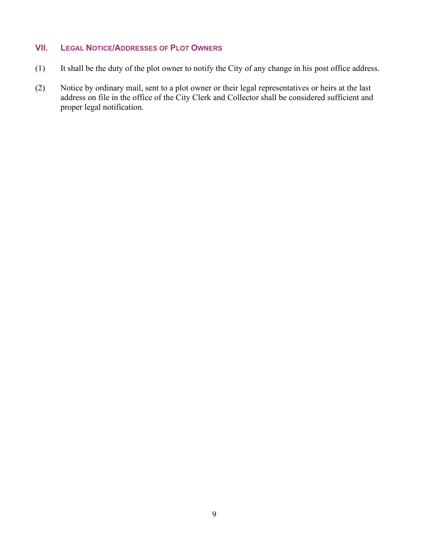# <span id="page-10-0"></span>**VII. LEGAL NOTICE/ADDRESSES OF PLOT OWNERS**

- (1) It shall be the duty of the plot owner to notify the City of any change in his post office address.
- (2) Notice by ordinary mail, sent to a plot owner or their legal representatives or heirs at the last address on file in the office of the City Clerk and Collector shall be considered sufficient and proper legal notification.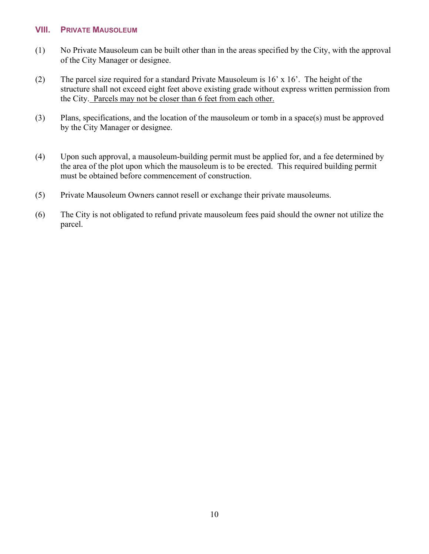#### <span id="page-11-0"></span>**VIII. PRIVATE MAUSOLEUM**

- (1) No Private Mausoleum can be built other than in the areas specified by the City, with the approval of the City Manager or designee.
- (2) The parcel size required for a standard Private Mausoleum is 16' x 16'. The height of the structure shall not exceed eight feet above existing grade without express written permission from the City. Parcels may not be closer than 6 feet from each other.
- (3) Plans, specifications, and the location of the mausoleum or tomb in a space(s) must be approved by the City Manager or designee.
- (4) Upon such approval, a mausoleum-building permit must be applied for, and a fee determined by the area of the plot upon which the mausoleum is to be erected. This required building permit must be obtained before commencement of construction.
- (5) Private Mausoleum Owners cannot resell or exchange their private mausoleums.
- (6) The City is not obligated to refund private mausoleum fees paid should the owner not utilize the parcel.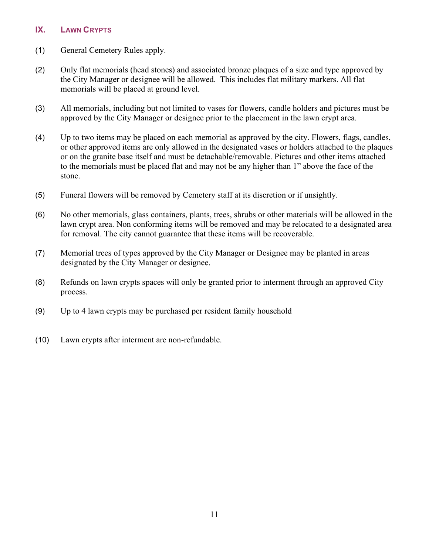## <span id="page-12-0"></span>**IX. LAWN CRYPTS**

- (1) General Cemetery Rules apply.
- (2) Only flat memorials (head stones) and associated bronze plaques of a size and type approved by the City Manager or designee will be allowed. This includes flat military markers. All flat memorials will be placed at ground level.
- (3) All memorials, including but not limited to vases for flowers, candle holders and pictures must be approved by the City Manager or designee prior to the placement in the lawn crypt area.
- (4) Up to two items may be placed on each memorial as approved by the city. Flowers, flags, candles, or other approved items are only allowed in the designated vases or holders attached to the plaques or on the granite base itself and must be detachable/removable. Pictures and other items attached to the memorials must be placed flat and may not be any higher than 1" above the face of the stone.
- (5) Funeral flowers will be removed by Cemetery staff at its discretion or if unsightly.
- (6) No other memorials, glass containers, plants, trees, shrubs or other materials will be allowed in the lawn crypt area. Non conforming items will be removed and may be relocated to a designated area for removal. The city cannot guarantee that these items will be recoverable.
- (7) Memorial trees of types approved by the City Manager or Designee may be planted in areas designated by the City Manager or designee.
- (8) Refunds on lawn crypts spaces will only be granted prior to interment through an approved City process.
- (9) Up to 4 lawn crypts may be purchased per resident family household
- (10) Lawn crypts after interment are non-refundable.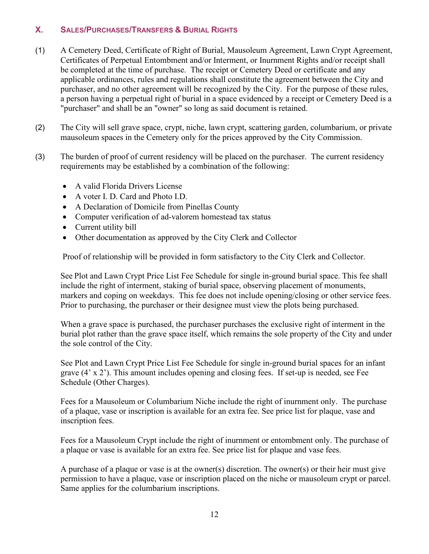# <span id="page-13-0"></span>**X. SALES/PURCHASES/TRANSFERS & BURIAL RIGHTS**

- (1) A Cemetery Deed, Certificate of Right of Burial, Mausoleum Agreement, Lawn Crypt Agreement, Certificates of Perpetual Entombment and/or Interment, or Inurnment Rights and/or receipt shall be completed at the time of purchase. The receipt or Cemetery Deed or certificate and any applicable ordinances, rules and regulations shall constitute the agreement between the City and purchaser, and no other agreement will be recognized by the City. For the purpose of these rules, a person having a perpetual right of burial in a space evidenced by a receipt or Cemetery Deed is a "purchaser" and shall be an "owner" so long as said document is retained.
- (2) The City will sell grave space, crypt, niche, lawn crypt, scattering garden, columbarium, or private mausoleum spaces in the Cemetery only for the prices approved by the City Commission.
- (3) The burden of proof of current residency will be placed on the purchaser. The current residency requirements may be established by a combination of the following:
	- A valid Florida Drivers License
	- A voter I. D. Card and Photo I.D.
	- A Declaration of Domicile from Pinellas County
	- Computer verification of ad-valorem homestead tax status
	- Current utility bill
	- Other documentation as approved by the City Clerk and Collector

Proof of relationship will be provided in form satisfactory to the City Clerk and Collector.

See Plot and Lawn Crypt Price List Fee Schedule for single in-ground burial space. This fee shall include the right of interment, staking of burial space, observing placement of monuments, markers and coping on weekdays. This fee does not include opening/closing or other service fees. Prior to purchasing, the purchaser or their designee must view the plots being purchased.

When a grave space is purchased, the purchaser purchases the exclusive right of interment in the burial plot rather than the grave space itself, which remains the sole property of the City and under the sole control of the City.

See Plot and Lawn Crypt Price List Fee Schedule for single in-ground burial spaces for an infant grave (4' x 2'). This amount includes opening and closing fees. If set-up is needed, see Fee Schedule (Other Charges).

Fees for a Mausoleum or Columbarium Niche include the right of inurnment only. The purchase of a plaque, vase or inscription is available for an extra fee. See price list for plaque, vase and inscription fees.

Fees for a Mausoleum Crypt include the right of inurnment or entombment only. The purchase of a plaque or vase is available for an extra fee. See price list for plaque and vase fees.

A purchase of a plaque or vase is at the owner(s) discretion. The owner(s) or their heir must give permission to have a plaque, vase or inscription placed on the niche or mausoleum crypt or parcel. Same applies for the columbarium inscriptions.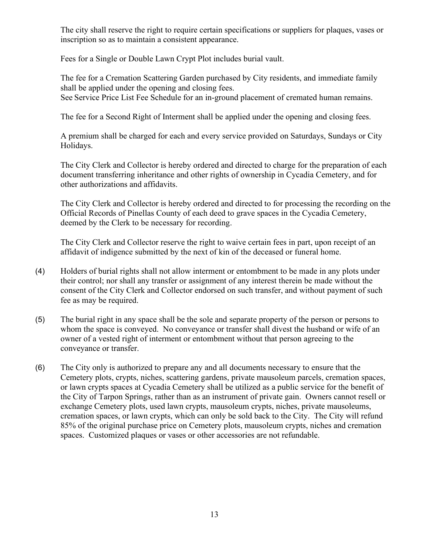The city shall reserve the right to require certain specifications or suppliers for plaques, vases or inscription so as to maintain a consistent appearance.

Fees for a Single or Double Lawn Crypt Plot includes burial vault.

The fee for a Cremation Scattering Garden purchased by City residents, and immediate family shall be applied under the opening and closing fees. See Service Price List Fee Schedule for an in-ground placement of cremated human remains.

The fee for a Second Right of Interment shall be applied under the opening and closing fees.

A premium shall be charged for each and every service provided on Saturdays, Sundays or City Holidays.

The City Clerk and Collector is hereby ordered and directed to charge for the preparation of each document transferring inheritance and other rights of ownership in Cycadia Cemetery, and for other authorizations and affidavits.

The City Clerk and Collector is hereby ordered and directed to for processing the recording on the Official Records of Pinellas County of each deed to grave spaces in the Cycadia Cemetery, deemed by the Clerk to be necessary for recording.

The City Clerk and Collector reserve the right to waive certain fees in part, upon receipt of an affidavit of indigence submitted by the next of kin of the deceased or funeral home.

- (4) Holders of burial rights shall not allow interment or entombment to be made in any plots under their control; nor shall any transfer or assignment of any interest therein be made without the consent of the City Clerk and Collector endorsed on such transfer, and without payment of such fee as may be required.
- (5) The burial right in any space shall be the sole and separate property of the person or persons to whom the space is conveyed. No conveyance or transfer shall divest the husband or wife of an owner of a vested right of interment or entombment without that person agreeing to the conveyance or transfer.
- (6) The City only is authorized to prepare any and all documents necessary to ensure that the Cemetery plots, crypts, niches, scattering gardens, private mausoleum parcels, cremation spaces, or lawn crypts spaces at Cycadia Cemetery shall be utilized as a public service for the benefit of the City of Tarpon Springs, rather than as an instrument of private gain. Owners cannot resell or exchange Cemetery plots, used lawn crypts, mausoleum crypts, niches, private mausoleums, cremation spaces, or lawn crypts, which can only be sold back to the City. The City will refund 85% of the original purchase price on Cemetery plots, mausoleum crypts, niches and cremation spaces. Customized plaques or vases or other accessories are not refundable.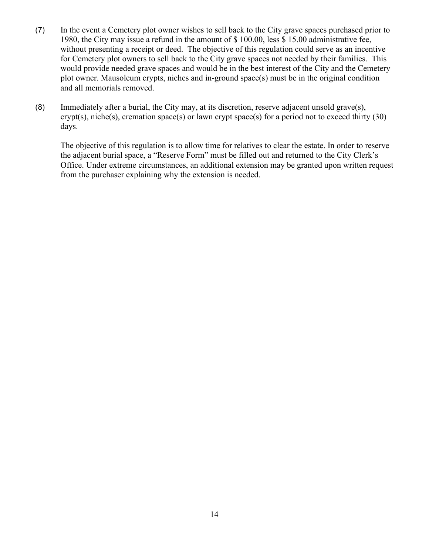- (7) In the event a Cemetery plot owner wishes to sell back to the City grave spaces purchased prior to 1980, the City may issue a refund in the amount of \$ 100.00, less \$ 15.00 administrative fee, without presenting a receipt or deed. The objective of this regulation could serve as an incentive for Cemetery plot owners to sell back to the City grave spaces not needed by their families. This would provide needed grave spaces and would be in the best interest of the City and the Cemetery plot owner. Mausoleum crypts, niches and in-ground space(s) must be in the original condition and all memorials removed.
- (8) Immediately after a burial, the City may, at its discretion, reserve adjacent unsold grave(s), crypt(s), niche(s), cremation space(s) or lawn crypt space(s) for a period not to exceed thirty  $(30)$ days.

The objective of this regulation is to allow time for relatives to clear the estate. In order to reserve the adjacent burial space, a "Reserve Form" must be filled out and returned to the City Clerk's Office. Under extreme circumstances, an additional extension may be granted upon written request from the purchaser explaining why the extension is needed.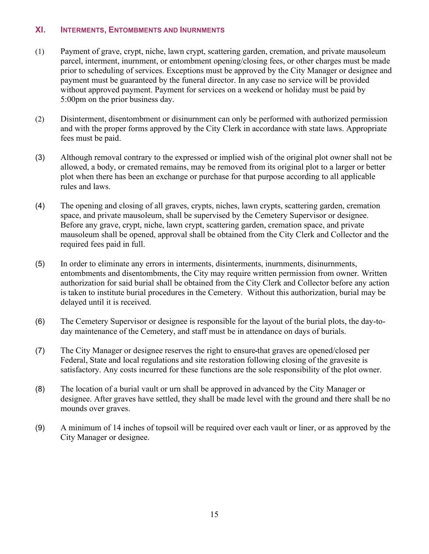#### <span id="page-16-0"></span>**XI. INTERMENTS, ENTOMBMENTS AND INURNMENTS**

- (1) Payment of grave, crypt, niche, lawn crypt, scattering garden, cremation, and private mausoleum parcel, interment, inurnment, or entombment opening/closing fees, or other charges must be made prior to scheduling of services. Exceptions must be approved by the City Manager or designee and payment must be guaranteed by the funeral director. In any case no service will be provided without approved payment. Payment for services on a weekend or holiday must be paid by 5:00pm on the prior business day.
- (2) Disinterment, disentombment or disinurnment can only be performed with authorized permission and with the proper forms approved by the City Clerk in accordance with state laws. Appropriate fees must be paid.
- (3) Although removal contrary to the expressed or implied wish of the original plot owner shall not be allowed, a body, or cremated remains, may be removed from its original plot to a larger or better plot when there has been an exchange or purchase for that purpose according to all applicable rules and laws.
- (4) The opening and closing of all graves, crypts, niches, lawn crypts, scattering garden, cremation space, and private mausoleum, shall be supervised by the Cemetery Supervisor or designee. Before any grave, crypt, niche, lawn crypt, scattering garden, cremation space, and private mausoleum shall be opened, approval shall be obtained from the City Clerk and Collector and the required fees paid in full.
- (5) In order to eliminate any errors in interments, disinterments, inurnments, disinurnments, entombments and disentombments, the City may require written permission from owner. Written authorization for said burial shall be obtained from the City Clerk and Collector before any action is taken to institute burial procedures in the Cemetery. Without this authorization, burial may be delayed until it is received.
- (6) The Cemetery Supervisor or designee is responsible for the layout of the burial plots, the day-today maintenance of the Cemetery, and staff must be in attendance on days of burials.
- (7) The City Manager or designee reserves the right to ensure that graves are opened/closed per Federal, State and local regulations and site restoration following closing of the gravesite is satisfactory. Any costs incurred for these functions are the sole responsibility of the plot owner.
- (8) The location of a burial vault or urn shall be approved in advanced by the City Manager or designee. After graves have settled, they shall be made level with the ground and there shall be no mounds over graves.
- (9) A minimum of 14 inches of topsoil will be required over each vault or liner, or as approved by the City Manager or designee.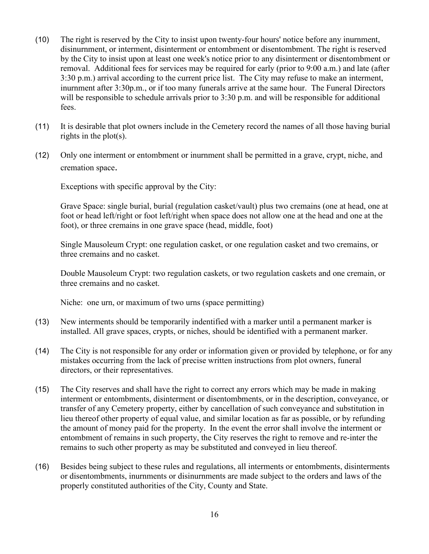- (10) The right is reserved by the City to insist upon twenty-four hours' notice before any inurnment, disinurnment, or interment, disinterment or entombment or disentombment. The right is reserved by the City to insist upon at least one week's notice prior to any disinterment or disentombment or removal. Additional fees for services may be required for early (prior to 9:00 a.m.) and late (after 3:30 p.m.) arrival according to the current price list. The City may refuse to make an interment, inurnment after 3:30p.m., or if too many funerals arrive at the same hour. The Funeral Directors will be responsible to schedule arrivals prior to 3:30 p.m. and will be responsible for additional fees.
- (11) It is desirable that plot owners include in the Cemetery record the names of all those having burial rights in the plot(s).
- (12) Only one interment or entombment or inurnment shall be permitted in a grave, crypt, niche, and cremation space.

Exceptions with specific approval by the City:

Grave Space: single burial, burial (regulation casket/vault) plus two cremains (one at head, one at foot or head left/right or foot left/right when space does not allow one at the head and one at the foot), or three cremains in one grave space (head, middle, foot)

Single Mausoleum Crypt: one regulation casket, or one regulation casket and two cremains, or three cremains and no casket.

Double Mausoleum Crypt: two regulation caskets, or two regulation caskets and one cremain, or three cremains and no casket.

Niche: one urn, or maximum of two urns (space permitting)

- (13) New interments should be temporarily indentified with a marker until a permanent marker is installed. All grave spaces, crypts, or niches, should be identified with a permanent marker.
- (14) The City is not responsible for any order or information given or provided by telephone, or for any mistakes occurring from the lack of precise written instructions from plot owners, funeral directors, or their representatives.
- (15) The City reserves and shall have the right to correct any errors which may be made in making interment or entombments, disinterment or disentombments, or in the description, conveyance, or transfer of any Cemetery property, either by cancellation of such conveyance and substitution in lieu thereof other property of equal value, and similar location as far as possible, or by refunding the amount of money paid for the property. In the event the error shall involve the interment or entombment of remains in such property, the City reserves the right to remove and re-inter the remains to such other property as may be substituted and conveyed in lieu thereof.
- (16) Besides being subject to these rules and regulations, all interments or entombments, disinterments or disentombments, inurnments or disinurnments are made subject to the orders and laws of the properly constituted authorities of the City, County and State.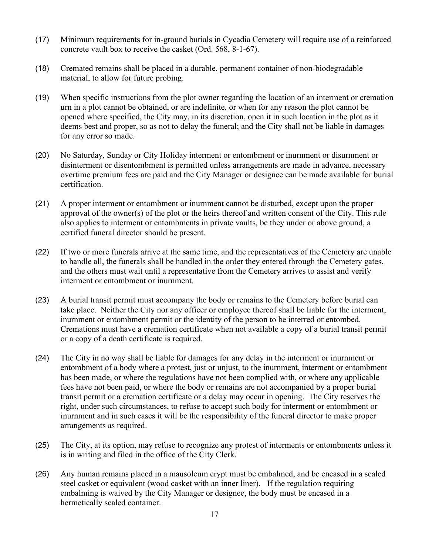- (17) Minimum requirements for in-ground burials in Cycadia Cemetery will require use of a reinforced concrete vault box to receive the casket (Ord. 568, 8-1-67).
- (18) Cremated remains shall be placed in a durable, permanent container of non-biodegradable material, to allow for future probing.
- (19) When specific instructions from the plot owner regarding the location of an interment or cremation urn in a plot cannot be obtained, or are indefinite, or when for any reason the plot cannot be opened where specified, the City may, in its discretion, open it in such location in the plot as it deems best and proper, so as not to delay the funeral; and the City shall not be liable in damages for any error so made.
- (20) No Saturday, Sunday or City Holiday interment or entombment or inurnment or disurnment or disinterment or disentombment is permitted unless arrangements are made in advance, necessary overtime premium fees are paid and the City Manager or designee can be made available for burial certification.
- (21) A proper interment or entombment or inurnment cannot be disturbed, except upon the proper approval of the owner(s) of the plot or the heirs thereof and written consent of the City. This rule also applies to interment or entombments in private vaults, be they under or above ground, a certified funeral director should be present.
- (22) If two or more funerals arrive at the same time, and the representatives of the Cemetery are unable to handle all, the funerals shall be handled in the order they entered through the Cemetery gates, and the others must wait until a representative from the Cemetery arrives to assist and verify interment or entombment or inurnment.
- (23) A burial transit permit must accompany the body or remains to the Cemetery before burial can take place. Neither the City nor any officer or employee thereof shall be liable for the interment, inurnment or entombment permit or the identity of the person to be interred or entombed. Cremations must have a cremation certificate when not available a copy of a burial transit permit or a copy of a death certificate is required.
- (24) The City in no way shall be liable for damages for any delay in the interment or inurnment or entombment of a body where a protest, just or unjust, to the inurnment, interment or entombment has been made, or where the regulations have not been complied with, or where any applicable fees have not been paid, or where the body or remains are not accompanied by a proper burial transit permit or a cremation certificate or a delay may occur in opening. The City reserves the right, under such circumstances, to refuse to accept such body for interment or entombment or inurnment and in such cases it will be the responsibility of the funeral director to make proper arrangements as required.
- (25) The City, at its option, may refuse to recognize any protest of interments or entombments unless it is in writing and filed in the office of the City Clerk.
- (26) Any human remains placed in a mausoleum crypt must be embalmed, and be encased in a sealed steel casket or equivalent (wood casket with an inner liner). If the regulation requiring embalming is waived by the City Manager or designee, the body must be encased in a hermetically sealed container.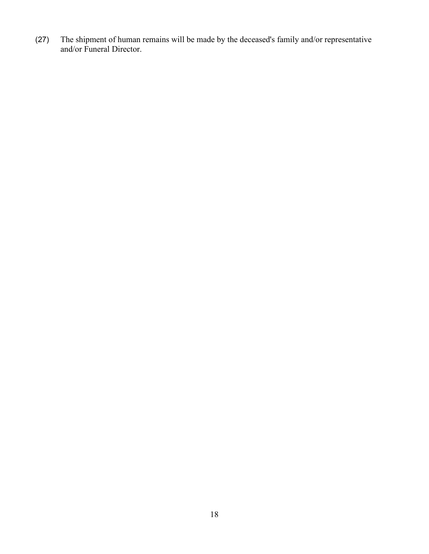(27) The shipment of human remains will be made by the deceased's family and/or representative and/or Funeral Director.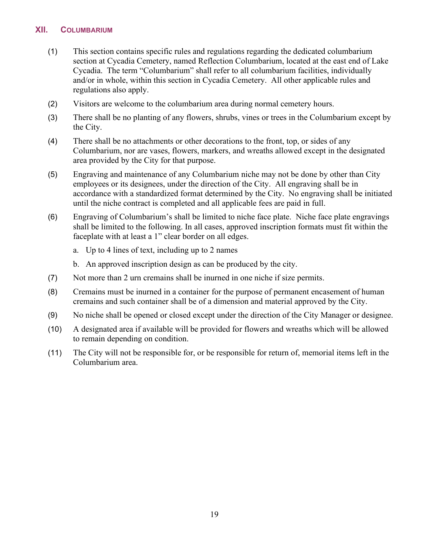#### <span id="page-20-0"></span>**XII. COLUMBARIUM**

- (1) This section contains specific rules and regulations regarding the dedicated columbarium section at Cycadia Cemetery, named Reflection Columbarium, located at the east end of Lake Cycadia. The term "Columbarium" shall refer to all columbarium facilities, individually and/or in whole, within this section in Cycadia Cemetery. All other applicable rules and regulations also apply.
- (2) Visitors are welcome to the columbarium area during normal cemetery hours.
- (3) There shall be no planting of any flowers, shrubs, vines or trees in the Columbarium except by the City.
- (4) There shall be no attachments or other decorations to the front, top, or sides of any Columbarium, nor are vases, flowers, markers, and wreaths allowed except in the designated area provided by the City for that purpose.
- (5) Engraving and maintenance of any Columbarium niche may not be done by other than City employees or its designees, under the direction of the City. All engraving shall be in accordance with a standardized format determined by the City. No engraving shall be initiated until the niche contract is completed and all applicable fees are paid in full.
- (6) Engraving of Columbarium's shall be limited to niche face plate. Niche face plate engravings shall be limited to the following. In all cases, approved inscription formats must fit within the faceplate with at least a 1" clear border on all edges.
	- a. Up to 4 lines of text, including up to 2 names
	- b. An approved inscription design as can be produced by the city.
- (7) Not more than 2 urn cremains shall be inurned in one niche if size permits.
- (8) Cremains must be inurned in a container for the purpose of permanent encasement of human cremains and such container shall be of a dimension and material approved by the City.
- (9) No niche shall be opened or closed except under the direction of the City Manager or designee.
- (10) A designated area if available will be provided for flowers and wreaths which will be allowed to remain depending on condition.
- (11) The City will not be responsible for, or be responsible for return of, memorial items left in the Columbarium area.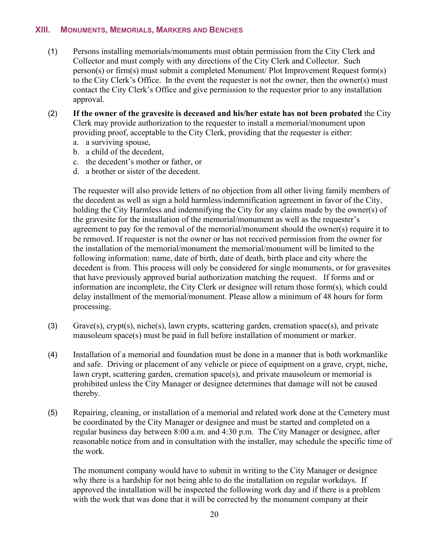#### <span id="page-21-0"></span>**XIII. MONUMENTS, MEMORIALS, MARKERS AND BENCHES**

- (1) Persons installing memorials/monuments must obtain permission from the City Clerk and Collector and must comply with any directions of the City Clerk and Collector. Such person(s) or firm(s) must submit a completed Monument/ Plot Improvement Request form(s) to the City Clerk's Office. In the event the requester is not the owner, then the owner(s) must contact the City Clerk's Office and give permission to the requestor prior to any installation approval.
- (2) **If the owner of the gravesite is deceased and his/her estate has not been probated** the City Clerk may provide authorization to the requester to install a memorial/monument upon providing proof, acceptable to the City Clerk, providing that the requester is either:
	- a. a surviving spouse,
	- b. a child of the decedent,
	- c. the decedent's mother or father, or
	- d. a brother or sister of the decedent.

The requester will also provide letters of no objection from all other living family members of the decedent as well as sign a hold harmless/indemnification agreement in favor of the City, holding the City Harmless and indemnifying the City for any claims made by the owner(s) of the gravesite for the installation of the memorial/monument as well as the requester's agreement to pay for the removal of the memorial/monument should the owner(s) require it to be removed. If requester is not the owner or has not received permission from the owner for the installation of the memorial/monument the memorial/monument will be limited to the following information: name, date of birth, date of death, birth place and city where the decedent is from. This process will only be considered for single monuments, or for gravesites that have previously approved burial authorization matching the request. If forms and or information are incomplete, the City Clerk or designee will return those form(s), which could delay installment of the memorial/monument. Please allow a minimum of 48 hours for form processing.

- (3) Grave(s), crypt(s), niche(s), lawn crypts, scattering garden, cremation space(s), and private mausoleum space(s) must be paid in full before installation of monument or marker.
- (4) Installation of a memorial and foundation must be done in a manner that is both workmanlike and safe. Driving or placement of any vehicle or piece of equipment on a grave, crypt, niche, lawn crypt, scattering garden, cremation space(s), and private mausoleum or memorial is prohibited unless the City Manager or designee determines that damage will not be caused thereby.
- (5) Repairing, cleaning, or installation of a memorial and related work done at the Cemetery must be coordinated by the City Manager or designee and must be started and completed on a regular business day between 8:00 a.m. and 4:30 p.m. The City Manager or designee, after reasonable notice from and in consultation with the installer, may schedule the specific time of the work.

The monument company would have to submit in writing to the City Manager or designee why there is a hardship for not being able to do the installation on regular workdays. If approved the installation will be inspected the following work day and if there is a problem with the work that was done that it will be corrected by the monument company at their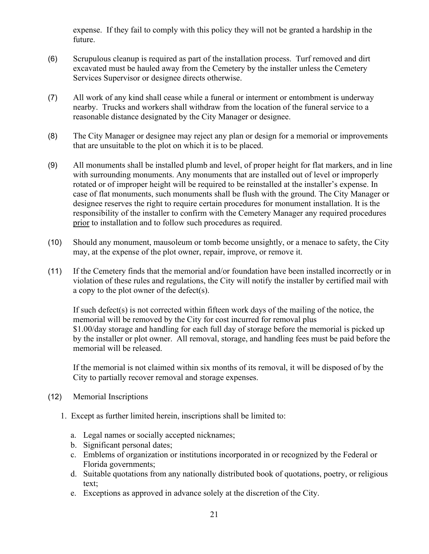expense. If they fail to comply with this policy they will not be granted a hardship in the future.

- (6) Scrupulous cleanup is required as part of the installation process. Turf removed and dirt excavated must be hauled away from the Cemetery by the installer unless the Cemetery Services Supervisor or designee directs otherwise.
- (7) All work of any kind shall cease while a funeral or interment or entombment is underway nearby. Trucks and workers shall withdraw from the location of the funeral service to a reasonable distance designated by the City Manager or designee.
- (8) The City Manager or designee may reject any plan or design for a memorial or improvements that are unsuitable to the plot on which it is to be placed.
- (9) All monuments shall be installed plumb and level, of proper height for flat markers, and in line with surrounding monuments. Any monuments that are installed out of level or improperly rotated or of improper height will be required to be reinstalled at the installer's expense. In case of flat monuments, such monuments shall be flush with the ground. The City Manager or designee reserves the right to require certain procedures for monument installation. It is the responsibility of the installer to confirm with the Cemetery Manager any required procedures prior to installation and to follow such procedures as required.
- (10) Should any monument, mausoleum or tomb become unsightly, or a menace to safety, the City may, at the expense of the plot owner, repair, improve, or remove it.
- (11) If the Cemetery finds that the memorial and/or foundation have been installed incorrectly or in violation of these rules and regulations, the City will notify the installer by certified mail with a copy to the plot owner of the defect(s).

If such defect(s) is not corrected within fifteen work days of the mailing of the notice, the memorial will be removed by the City for cost incurred for removal plus \$1.00/day storage and handling for each full day of storage before the memorial is picked up by the installer or plot owner. All removal, storage, and handling fees must be paid before the memorial will be released.

If the memorial is not claimed within six months of its removal, it will be disposed of by the City to partially recover removal and storage expenses.

- (12) Memorial Inscriptions
	- 1. Except as further limited herein, inscriptions shall be limited to:
		- a. Legal names or socially accepted nicknames;
		- b. Significant personal dates;
		- c. Emblems of organization or institutions incorporated in or recognized by the Federal or Florida governments;
		- d. Suitable quotations from any nationally distributed book of quotations, poetry, or religious text;
		- e. Exceptions as approved in advance solely at the discretion of the City.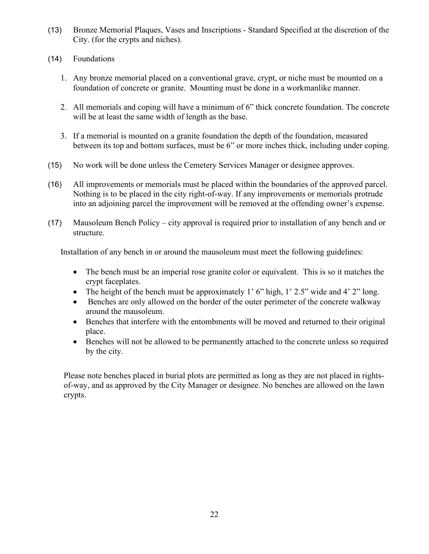- (13) Bronze Memorial Plaques, Vases and Inscriptions Standard Specified at the discretion of the City. (for the crypts and niches).
- (14) Foundations
	- 1. Any bronze memorial placed on a conventional grave, crypt, or niche must be mounted on a foundation of concrete or granite. Mounting must be done in a workmanlike manner.
	- 2. All memorials and coping will have a minimum of 6" thick concrete foundation. The concrete will be at least the same width of length as the base.
	- 3. If a memorial is mounted on a granite foundation the depth of the foundation, measured between its top and bottom surfaces, must be 6" or more inches thick, including under coping.
- (15) No work will be done unless the Cemetery Services Manager or designee approves.
- (16) All improvements or memorials must be placed within the boundaries of the approved parcel. Nothing is to be placed in the city right-of-way. If any improvements or memorials protrude into an adjoining parcel the improvement will be removed at the offending owner's expense.
- (17) Mausoleum Bench Policy city approval is required prior to installation of any bench and or structure.

Installation of any bench in or around the mausoleum must meet the following guidelines:

- The bench must be an imperial rose granite color or equivalent. This is so it matches the crypt faceplates.
- The height of the bench must be approximately 1' 6" high, 1' 2.5" wide and 4' 2" long.
- Benches are only allowed on the border of the outer perimeter of the concrete walkway around the mausoleum.
- Benches that interfere with the entombments will be moved and returned to their original place.
- Benches will not be allowed to be permanently attached to the concrete unless so required by the city.

Please note benches placed in burial plots are permitted as long as they are not placed in rightsof-way, and as approved by the City Manager or designee. No benches are allowed on the lawn crypts.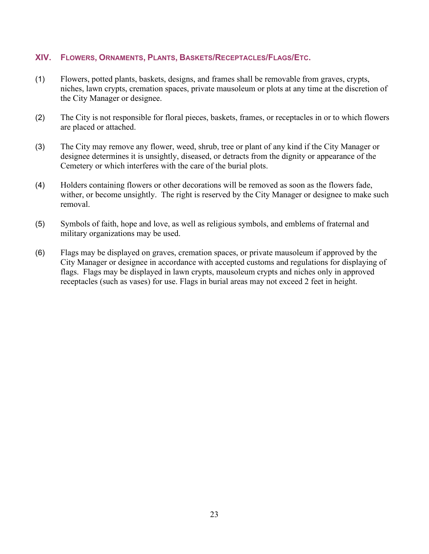# <span id="page-24-0"></span>**XIV. FLOWERS, ORNAMENTS, PLANTS, BASKETS/RECEPTACLES/FLAGS/ETC.**

- (1) Flowers, potted plants, baskets, designs, and frames shall be removable from graves, crypts, niches, lawn crypts, cremation spaces, private mausoleum or plots at any time at the discretion of the City Manager or designee.
- (2) The City is not responsible for floral pieces, baskets, frames, or receptacles in or to which flowers are placed or attached.
- (3) The City may remove any flower, weed, shrub, tree or plant of any kind if the City Manager or designee determines it is unsightly, diseased, or detracts from the dignity or appearance of the Cemetery or which interferes with the care of the burial plots.
- (4) Holders containing flowers or other decorations will be removed as soon as the flowers fade, wither, or become unsightly. The right is reserved by the City Manager or designee to make such removal.
- (5) Symbols of faith, hope and love, as well as religious symbols, and emblems of fraternal and military organizations may be used.
- (6) Flags may be displayed on graves, cremation spaces, or private mausoleum if approved by the City Manager or designee in accordance with accepted customs and regulations for displaying of flags. Flags may be displayed in lawn crypts, mausoleum crypts and niches only in approved receptacles (such as vases) for use. Flags in burial areas may not exceed 2 feet in height.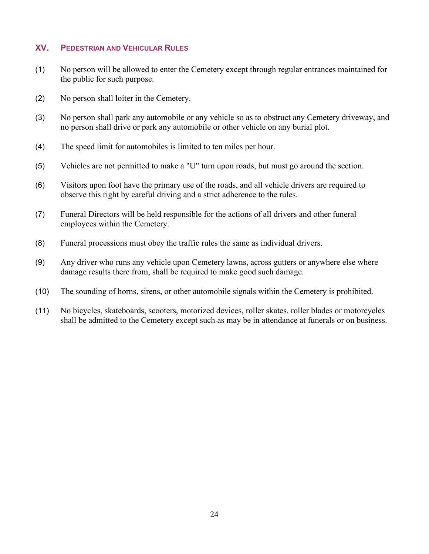# <span id="page-25-0"></span>**XV. PEDESTRIAN AND VEHICULAR RULES**

- (1) No person will be allowed to enter the Cemetery except through regular entrances maintained for the public for such purpose.
- (2) No person shall loiter in the Cemetery.
- (3) No person shall park any automobile or any vehicle so as to obstruct any Cemetery driveway, and no person shall drive or park any automobile or other vehicle on any burial plot.
- (4) The speed limit for automobiles is limited to ten miles per hour.
- (5) Vehicles are not permitted to make a "U" turn upon roads, but must go around the section.
- (6) Visitors upon foot have the primary use of the roads, and all vehicle drivers are required to observe this right by careful driving and a strict adherence to the rules.
- (7) Funeral Directors will be held responsible for the actions of all drivers and other funeral employees within the Cemetery.
- (8) Funeral processions must obey the traffic rules the same as individual drivers.
- (9) Any driver who runs any vehicle upon Cemetery lawns, across gutters or anywhere else where damage results there from, shall be required to make good such damage.
- (10) The sounding of horns, sirens, or other automobile signals within the Cemetery is prohibited.
- (11) No bicycles, skateboards, scooters, motorized devices, roller skates, roller blades or motorcycles shall be admitted to the Cemetery except such as may be in attendance at funerals or on business.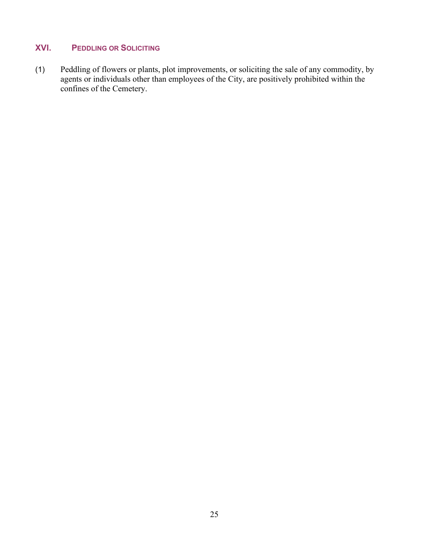# <span id="page-26-0"></span>**XVI. PEDDLING OR SOLICITING**

(1) Peddling of flowers or plants, plot improvements, or soliciting the sale of any commodity, by agents or individuals other than employees of the City, are positively prohibited within the confines of the Cemetery.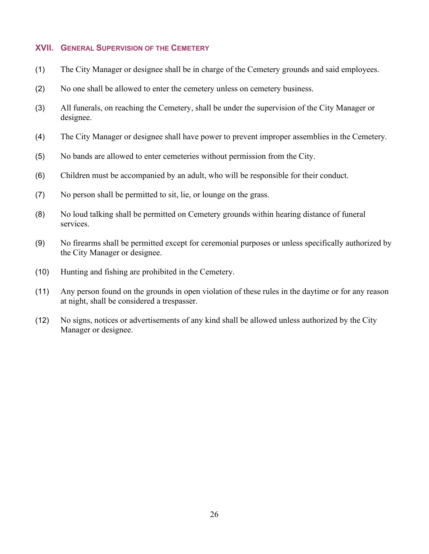#### <span id="page-27-0"></span>**XVII. GENERAL SUPERVISION OF THE CEMETERY**

- (1) The City Manager or designee shall be in charge of the Cemetery grounds and said employees.
- (2) No one shall be allowed to enter the cemetery unless on cemetery business.
- (3) All funerals, on reaching the Cemetery, shall be under the supervision of the City Manager or designee.
- (4) The City Manager or designee shall have power to prevent improper assemblies in the Cemetery.
- (5) No bands are allowed to enter cemeteries without permission from the City.
- (6) Children must be accompanied by an adult, who will be responsible for their conduct.
- (7) No person shall be permitted to sit, lie, or lounge on the grass.
- (8) No loud talking shall be permitted on Cemetery grounds within hearing distance of funeral services.
- (9) No firearms shall be permitted except for ceremonial purposes or unless specifically authorized by the City Manager or designee.
- (10) Hunting and fishing are prohibited in the Cemetery.
- (11) Any person found on the grounds in open violation of these rules in the daytime or for any reason at night, shall be considered a trespasser.
- (12) No signs, notices or advertisements of any kind shall be allowed unless authorized by the City Manager or designee.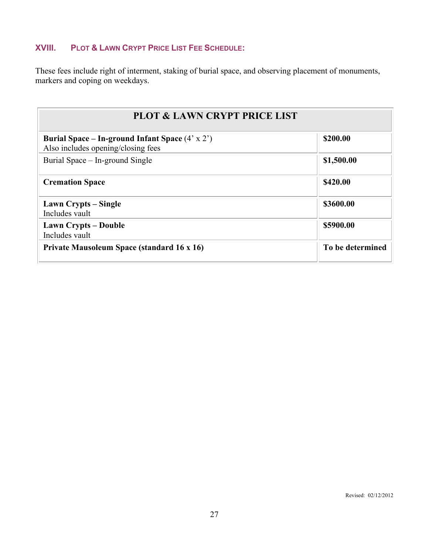# <span id="page-28-0"></span>**XVIII. PLOT & LAWN CRYPT PRICE LIST FEE SCHEDULE:**

These fees include right of interment, staking of burial space, and observing placement of monuments, markers and coping on weekdays.

| <b>PLOT &amp; LAWN CRYPT PRICE LIST</b>                                                      |                  |  |  |
|----------------------------------------------------------------------------------------------|------------------|--|--|
| Burial Space – In-ground Infant Space $(4' \times 2')$<br>Also includes opening/closing fees | \$200.00         |  |  |
| Burial Space – In-ground Single                                                              | \$1,500.00       |  |  |
| <b>Cremation Space</b>                                                                       | \$420.00         |  |  |
| Lawn Crypts – Single<br>Includes vault                                                       | \$3600.00        |  |  |
| <b>Lawn Crypts – Double</b><br>Includes vault                                                | \$5900.00        |  |  |
| <b>Private Mausoleum Space (standard 16 x 16)</b>                                            | To be determined |  |  |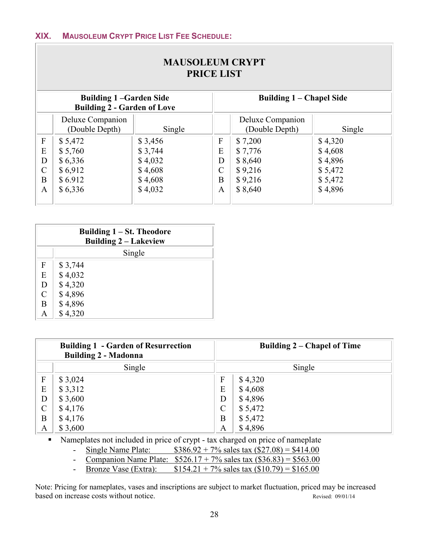<span id="page-29-0"></span> $\overline{\phantom{a}}$ 

|               | <b>MAUSOLEUM CRYPT</b><br><b>PRICE LIST</b>                                                     |         |   |                                    |         |  |
|---------------|-------------------------------------------------------------------------------------------------|---------|---|------------------------------------|---------|--|
|               | Building 1 – Chapel Side<br><b>Building 1-Garden Side</b><br><b>Building 2 - Garden of Love</b> |         |   |                                    |         |  |
|               | Deluxe Companion<br>(Double Depth)                                                              | Single  |   | Deluxe Companion<br>(Double Depth) | Single  |  |
| $\mathbf{F}$  | \$5,472                                                                                         | \$3,456 | F | \$7,200                            | \$4,320 |  |
| E             | \$5,760                                                                                         | \$3,744 | E | \$7,776                            | \$4,608 |  |
| D             | \$6,336                                                                                         | \$4,032 | D | \$8,640                            | \$4,896 |  |
| $\mathcal{C}$ | \$6,912                                                                                         | \$4,608 |   | \$9,216                            | \$5,472 |  |
| B             | \$6.912                                                                                         | \$4,608 | B | \$9,216                            | \$5,472 |  |
| A             | \$6,336                                                                                         | \$4,032 | A | \$8,640                            | \$4,896 |  |

|              | Building $1 - St.$ Theodore<br><b>Building 2 – Lakeview</b> |  |  |  |
|--------------|-------------------------------------------------------------|--|--|--|
|              | Single                                                      |  |  |  |
| F            | \$3,744                                                     |  |  |  |
| E            | \$4,032                                                     |  |  |  |
| D            | \$4,320                                                     |  |  |  |
| $\mathsf{C}$ | \$4,896                                                     |  |  |  |
| B            | \$4,896                                                     |  |  |  |
|              | \$4,320                                                     |  |  |  |

| <b>Building 1 - Garden of Resurrection</b><br><b>Building 2 - Madonna</b> |         |                | Building $2$ – Chapel of Time |
|---------------------------------------------------------------------------|---------|----------------|-------------------------------|
|                                                                           | Single  |                | Single                        |
| $\mathbf{F}$                                                              | \$3,024 | F              | \$4,320                       |
| E                                                                         | \$3,312 | E              | \$4,608                       |
| D                                                                         | \$3,600 | D              | \$4,896                       |
| $\mathcal{C}$                                                             | \$4,176 | $\overline{C}$ | \$5,472                       |
| B                                                                         | \$4,176 | B              | \$5,472                       |
| A                                                                         | \$3,600 | A              | \$4,896                       |

Nameplates not included in price of crypt - tax charged on price of nameplate

- Single Name Plate:  $$386.92 + 7\%$  sales tax  $(\$27.08) = $414.00$ 

- Companion Name Plate:  $$526.17 + 7\%$  sales tax  $($36.83) = $563.00$ 

- Bronze Vase (Extra):  $$154.21 + 7\%$  sales tax  $($10.79) = $165.00$ 

Note: Pricing for nameplates, vases and inscriptions are subject to market fluctuation, priced may be increased based on increase costs without notice. Revised: 09/01/14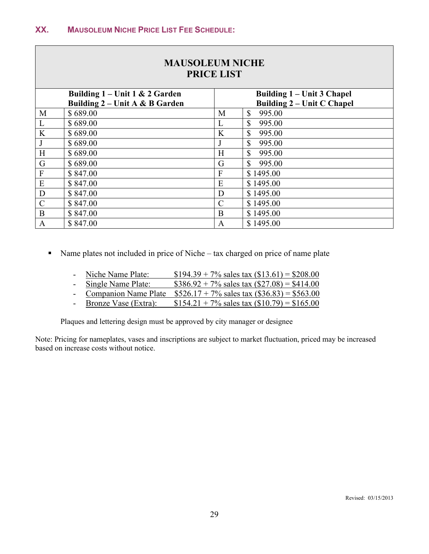<span id="page-30-0"></span>Γ

|              | <b>MAUSOLEUM NICHE</b><br><b>PRICE LIST</b> |                |                                   |  |  |  |
|--------------|---------------------------------------------|----------------|-----------------------------------|--|--|--|
|              | Building $1$ – Unit 1 & 2 Garden            |                | Building 1 – Unit 3 Chapel        |  |  |  |
|              | Building 2 – Unit A & B Garden              |                | <b>Building 2 – Unit C Chapel</b> |  |  |  |
| M            | \$689.00                                    | M              | $\mathbb{S}$<br>995.00            |  |  |  |
| L            | \$689.00                                    | L              | $\mathbb{S}$<br>995.00            |  |  |  |
| K            | \$689.00                                    | $\bf K$        | $\mathbb{S}$<br>995.00            |  |  |  |
| J            | \$689.00                                    | J              | $\mathbb{S}$<br>995.00            |  |  |  |
| H            | \$689.00                                    | H              | $\mathbb{S}$<br>995.00            |  |  |  |
| G            | \$689.00                                    | G              | \$<br>995.00                      |  |  |  |
| $\mathbf F$  | \$847.00                                    | $\overline{F}$ | \$1495.00                         |  |  |  |
| E            | \$847.00                                    | E              | \$1495.00                         |  |  |  |
| D            | \$847.00                                    | D              | \$1495.00                         |  |  |  |
| $\mathbf C$  | \$847.00                                    | $\mathcal{C}$  | \$1495.00                         |  |  |  |
| $\bf{B}$     | \$847.00                                    | B              | \$1495.00                         |  |  |  |
| $\mathbf{A}$ | \$847.00                                    | A              | \$1495.00                         |  |  |  |

- Name plates not included in price of Niche tax charged on price of name plate
	- Niche Name Plate:  $$194.39 + 7\%$  sales tax  $$13.61) = $208.00$
	- Single Name Plate:  $$386.92 + 7\%$  sales tax  $($27.08) = $414.00$
	- Companion Name Plate  $$526.17 + 7\%$  sales tax  $($36.83) = $563.00$
	- Bronze Vase (Extra):  $$154.21 + 7\%$  sales tax (\$10.79) = \$165.00

Plaques and lettering design must be approved by city manager or designee

Note: Pricing for nameplates, vases and inscriptions are subject to market fluctuation, priced may be increased based on increase costs without notice.

┑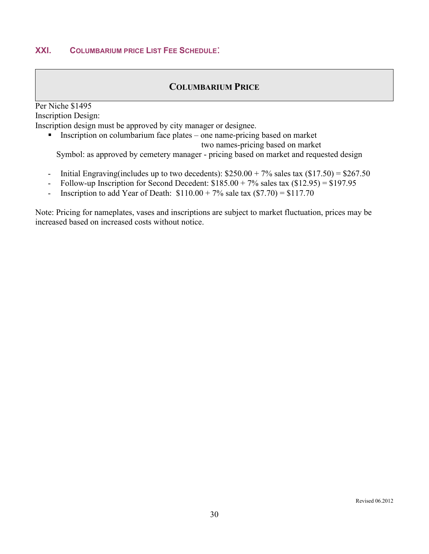# **COLUMBARIUM PRICE**

<span id="page-31-1"></span><span id="page-31-0"></span>Per Niche \$1495 Inscription Design: Inscription design must be approved by city manager or designee.

 $\blacksquare$  Inscription on columbarium face plates – one name-pricing based on market two names-pricing based on market

Symbol: as approved by cemetery manager - pricing based on market and requested design

- Initial Engraving(includes up to two decedents):  $$250.00 + 7\%$  sales tax  $($17.50) = $267.50$
- Follow-up Inscription for Second Decedent:  $$185.00 + 7\%$  sales tax  $($12.95) = $197.95$
- Inscription to add Year of Death:  $$110.00 + 7\%$  sale tax  $($7.70) = $117.70$

Note: Pricing for nameplates, vases and inscriptions are subject to market fluctuation, prices may be increased based on increased costs without notice.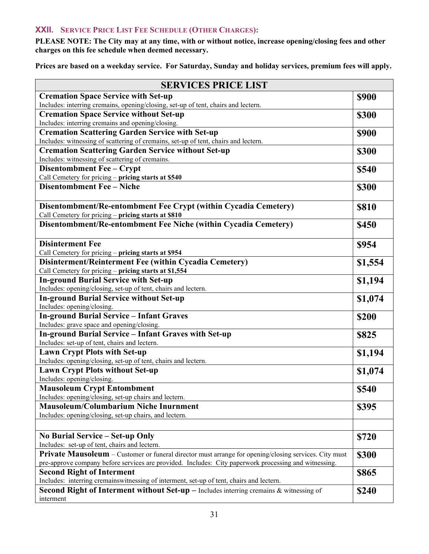# <span id="page-32-0"></span>**XXII. SERVICE PRICE LIST FEE SCHEDULE (OTHER CHARGES):**

**PLEASE NOTE: The City may at any time, with or without notice, increase opening/closing fees and other charges on this fee schedule when deemed necessary.**

**Prices are based on a weekday service. For Saturday, Sunday and holiday services, premium fees will apply.** 

| <b>SERVICES PRICE LIST</b>                                                                                                                                                                     |              |  |  |
|------------------------------------------------------------------------------------------------------------------------------------------------------------------------------------------------|--------------|--|--|
| <b>Cremation Space Service with Set-up</b>                                                                                                                                                     | <b>\$900</b> |  |  |
| Includes: interring cremains, opening/closing, set-up of tent, chairs and lectern.                                                                                                             |              |  |  |
| <b>Cremation Space Service without Set-up</b>                                                                                                                                                  | \$300        |  |  |
| Includes: interring cremains and opening/closing.                                                                                                                                              |              |  |  |
| <b>Cremation Scattering Garden Service with Set-up</b>                                                                                                                                         | <b>\$900</b> |  |  |
| Includes: witnessing of scattering of cremains, set-up of tent, chairs and lectern.                                                                                                            |              |  |  |
| <b>Cremation Scattering Garden Service without Set-up</b><br>Includes: witnessing of scattering of cremains.                                                                                   | \$300        |  |  |
| Disentombment Fee - Crypt                                                                                                                                                                      | \$540        |  |  |
| Call Cemetery for pricing - pricing starts at \$540                                                                                                                                            |              |  |  |
| <b>Disentombment Fee - Niche</b>                                                                                                                                                               | \$300        |  |  |
|                                                                                                                                                                                                |              |  |  |
| Disentombment/Re-entombment Fee Crypt (within Cycadia Cemetery)                                                                                                                                | <b>\$810</b> |  |  |
| Call Cemetery for pricing - pricing starts at \$810                                                                                                                                            |              |  |  |
| Disentombment/Re-entombment Fee Niche (within Cycadia Cemetery)                                                                                                                                | <b>\$450</b> |  |  |
|                                                                                                                                                                                                |              |  |  |
| <b>Disinterment Fee</b>                                                                                                                                                                        | \$954        |  |  |
| Call Cemetery for pricing - pricing starts at \$954                                                                                                                                            |              |  |  |
| Disinterment/Reinterment Fee (within Cycadia Cemetery)                                                                                                                                         | \$1,554      |  |  |
| Call Cemetery for pricing - pricing starts at \$1,554                                                                                                                                          |              |  |  |
| <b>In-ground Burial Service with Set-up</b>                                                                                                                                                    | \$1,194      |  |  |
| Includes: opening/closing, set-up of tent, chairs and lectern.                                                                                                                                 |              |  |  |
| <b>In-ground Burial Service without Set-up</b>                                                                                                                                                 | \$1,074      |  |  |
| Includes: opening/closing.<br><b>In-ground Burial Service - Infant Graves</b>                                                                                                                  |              |  |  |
| Includes: grave space and opening/closing.                                                                                                                                                     | \$200        |  |  |
| <b>In-ground Burial Service - Infant Graves with Set-up</b>                                                                                                                                    | \$825        |  |  |
| Includes: set-up of tent, chairs and lectern.                                                                                                                                                  |              |  |  |
| <b>Lawn Crypt Plots with Set-up</b>                                                                                                                                                            | \$1,194      |  |  |
| Includes: opening/closing, set-up of tent, chairs and lectern.                                                                                                                                 |              |  |  |
| <b>Lawn Crypt Plots without Set-up</b>                                                                                                                                                         | \$1,074      |  |  |
| Includes: opening/closing.                                                                                                                                                                     |              |  |  |
| <b>Mausoleum Crypt Entombment</b>                                                                                                                                                              | \$540        |  |  |
| Includes: opening/closing, set-up chairs and lectern.                                                                                                                                          |              |  |  |
| <b>Mausoleum/Columbarium Niche Inurnment</b>                                                                                                                                                   | \$395        |  |  |
| Includes: opening/closing, set-up chairs, and lectern.                                                                                                                                         |              |  |  |
|                                                                                                                                                                                                |              |  |  |
| No Burial Service – Set-up Only                                                                                                                                                                | \$720        |  |  |
| Includes: set-up of tent, chairs and lectern.                                                                                                                                                  |              |  |  |
| <b>Private Mausoleum</b> – Customer or funeral director must arrange for opening/closing services. City must                                                                                   | \$300        |  |  |
| pre-approve company before services are provided. Includes: City paperwork processing and witnessing.                                                                                          |              |  |  |
| <b>Second Right of Interment</b>                                                                                                                                                               | \$865        |  |  |
| Includes: interring cremainswitnessing of interment, set-up of tent, chairs and lectern.<br><b>Second Right of Interment without Set-up</b> $-$ Includes interring cremains $\&$ witnessing of |              |  |  |
| interment                                                                                                                                                                                      | \$240        |  |  |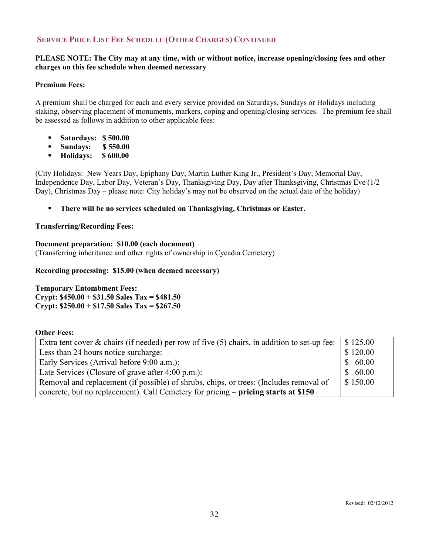# **SERVICE PRICE LIST FEE SCHEDULE (OTHER CHARGES) CONTINUED**

#### **PLEASE NOTE: The City may at any time, with or without notice, increase opening/closing fees and other charges on this fee schedule when deemed necessary**

#### **Premium Fees:**

A premium shall be charged for each and every service provided on Saturdays, Sundays or Holidays including staking, observing placement of monuments, markers, coping and opening/closing services. The premium fee shall be assessed as follows in addition to other applicable fees:

- **Saturdays: \$ 500.00**
- **Sundays: \$550.00**
- **Holidays: \$ 600.00**

(City Holidays: New Years Day, Epiphany Day, Martin Luther King Jr., President's Day, Memorial Day, Independence Day, Labor Day, Veteran's Day, Thanksgiving Day, Day after Thanksgiving, Christmas Eve (1/2 Day), Christmas Day – please note: City holiday's may not be observed on the actual date of the holiday)

**There will be no services scheduled on Thanksgiving, Christmas or Easter.**

#### **Transferring/Recording Fees:**

# **Document preparation: \$10.00 (each document)**

(Transferring inheritance and other rights of ownership in Cycadia Cemetery)

#### **Recording processing: \$15.00 (when deemed necessary)**

**Temporary Entombment Fees: Crypt: \$450.00 + \$31.50 Sales Tax = \$481.50 Crypt: \$250.00 + \$17.50 Sales Tax = \$267.50**

#### **Other Fees:**

| Extra tent cover $\&$ chairs (if needed) per row of five (5) chairs, in addition to set-up fee: | $\frac{1}{2}$ \$125.00 |
|-------------------------------------------------------------------------------------------------|------------------------|
| Less than 24 hours notice surcharge:                                                            | \$120.00               |
| Early Services (Arrival before 9:00 a.m.):                                                      | 60.00                  |
| Late Services (Closure of grave after 4:00 p.m.):                                               | 60.00                  |
| Removal and replacement (if possible) of shrubs, chips, or trees: (Includes removal of          | \$150.00               |
| concrete, but no replacement). Call Cemetery for pricing – pricing starts at \$150              |                        |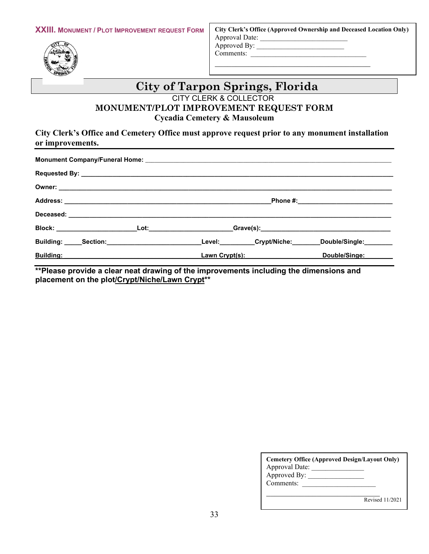

**City Clerk's Office (Approved Ownership and Deceased Location Only)** Approval Date: \_\_\_\_\_\_\_\_\_\_\_\_\_\_\_\_\_\_\_\_\_\_\_\_\_ Approved By: \_\_\_\_\_\_\_\_\_\_\_\_\_\_\_\_\_\_\_\_\_\_\_\_\_ Comments:

\_\_\_\_\_\_\_\_\_\_\_\_\_\_\_\_\_\_\_\_\_\_\_\_\_\_\_\_\_\_\_\_\_\_\_\_\_

# **City of Tarpon Springs, Florida**

CITY CLERK & COLLECTOR

# **MONUMENT/PLOT IMPROVEMENT REQUEST FORM Cycadia Cemetery & Mausoleum**

# **City Clerk's Office and Cemetery Office must approve request prior to any monument installation or improvements.**

|                               |  |  |                                                                                                                                                                                                                               | _Level:__________Crypt/Niche:________Double/Single:_______ |  |
|-------------------------------|--|--|-------------------------------------------------------------------------------------------------------------------------------------------------------------------------------------------------------------------------------|------------------------------------------------------------|--|
| <b>Building: Example 2018</b> |  |  | Lawn Crypt(s): New York Crypt Control of the Case of the Control of the Control of the Control of the Control of the Control of the Control of the Control of the Control of the Control of the Control of the Control of the | Double/Singe:                                              |  |

**\*\*Please provide a clear neat drawing of the improvements including the dimensions and placement on the plot/Crypt/Niche/Lawn Crypt\*\***

| Cemetery Office (Approved Design/Layout Only)<br>Approval Date:<br>Approved By:<br>Comments: |  |
|----------------------------------------------------------------------------------------------|--|
| Revised 11/2021                                                                              |  |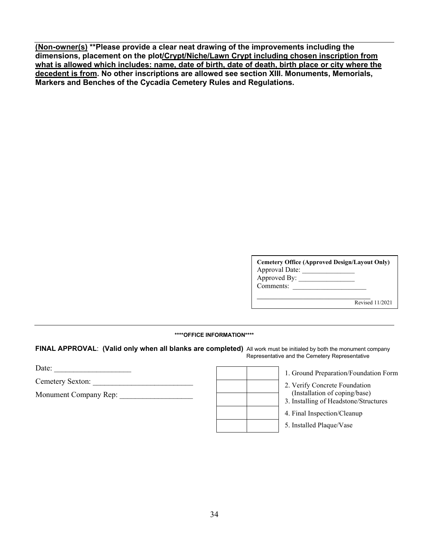**(Non-owner(s) \*\*Please provide a clear neat drawing of the improvements including the dimensions, placement on the plot/Crypt/Niche/Lawn Crypt including chosen inscription from what is allowed which includes: name, date of birth, date of death, birth place or city where the decedent is from. No other inscriptions are allowed see section XIII. Monuments, Memorials, Markers and Benches of the Cycadia Cemetery Rules and Regulations.**

| <b>Cemetery Office (Approved Design/Layout Only)</b><br>Approval Date:<br>Approved By:<br>Comments: |                 |
|-----------------------------------------------------------------------------------------------------|-----------------|
|                                                                                                     | Revised 11/2021 |

#### **\*\*\*\*OFFICE INFORMATION\*\*\*\***

**FINAL APPROVAL**: **(Valid only when all blanks are completed)** All work must be initialed by both the monument company Representative and the Cemetery Representative

Date:

Cemetery Sexton: \_\_\_\_\_\_\_\_\_\_\_\_\_\_\_\_\_\_\_\_\_\_\_\_\_\_

Monument Company Rep:

|  | 1                       |
|--|-------------------------|
|  | $\overline{\mathbf{c}}$ |
|  | 3                       |
|  | 4                       |
|  | 5                       |

1. Ground Preparation/Foundation Form

2. Verify Concrete Foundation (Installation of coping/base)

- 3. Installing of Headstone/Structures
- 4. Final Inspection/Cleanup
- 5. Installed Plaque/Vase